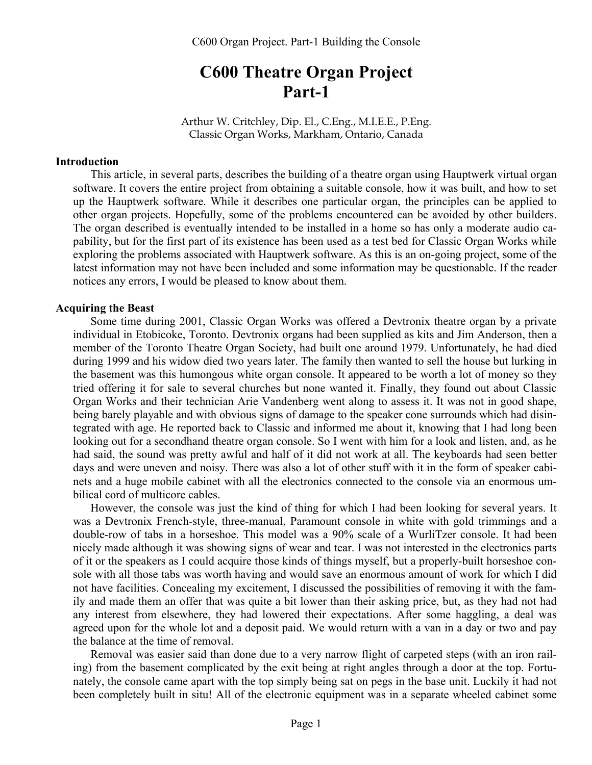# **C600 Theatre Organ Project Part-1**

Arthur W. Critchley, Dip. El., C.Eng., M.I.E.E., P.Eng. Classic Organ Works, Markham, Ontario, Canada

#### **Introduction**

This article, in several parts, describes the building of a theatre organ using Hauptwerk virtual organ software. It covers the entire project from obtaining a suitable console, how it was built, and how to set up the Hauptwerk software. While it describes one particular organ, the principles can be applied to other organ projects. Hopefully, some of the problems encountered can be avoided by other builders. The organ described is eventually intended to be installed in a home so has only a moderate audio capability, but for the first part of its existence has been used as a test bed for Classic Organ Works while exploring the problems associated with Hauptwerk software. As this is an on-going project, some of the latest information may not have been included and some information may be questionable. If the reader notices any errors, I would be pleased to know about them.

#### **Acquiring the Beast**

Some time during 2001, Classic Organ Works was offered a Devtronix theatre organ by a private individual in Etobicoke, Toronto. Devtronix organs had been supplied as kits and Jim Anderson, then a member of the Toronto Theatre Organ Society, had built one around 1979. Unfortunately, he had died during 1999 and his widow died two years later. The family then wanted to sell the house but lurking in the basement was this humongous white organ console. It appeared to be worth a lot of money so they tried offering it for sale to several churches but none wanted it. Finally, they found out about Classic Organ Works and their technician Arie Vandenberg went along to assess it. It was not in good shape, being barely playable and with obvious signs of damage to the speaker cone surrounds which had disintegrated with age. He reported back to Classic and informed me about it, knowing that I had long been looking out for a secondhand theatre organ console. So I went with him for a look and listen, and, as he had said, the sound was pretty awful and half of it did not work at all. The keyboards had seen better days and were uneven and noisy. There was also a lot of other stuff with it in the form of speaker cabinets and a huge mobile cabinet with all the electronics connected to the console via an enormous umbilical cord of multicore cables.

However, the console was just the kind of thing for which I had been looking for several years. It was a Devtronix French-style, three-manual, Paramount console in white with gold trimmings and a double-row of tabs in a horseshoe. This model was a 90% scale of a WurliTzer console. It had been nicely made although it was showing signs of wear and tear. I was not interested in the electronics parts of it or the speakers as I could acquire those kinds of things myself, but a properly-built horseshoe console with all those tabs was worth having and would save an enormous amount of work for which I did not have facilities. Concealing my excitement, I discussed the possibilities of removing it with the family and made them an offer that was quite a bit lower than their asking price, but, as they had not had any interest from elsewhere, they had lowered their expectations. After some haggling, a deal was agreed upon for the whole lot and a deposit paid. We would return with a van in a day or two and pay the balance at the time of removal.

Removal was easier said than done due to a very narrow flight of carpeted steps (with an iron railing) from the basement complicated by the exit being at right angles through a door at the top. Fortunately, the console came apart with the top simply being sat on pegs in the base unit. Luckily it had not been completely built in situ! All of the electronic equipment was in a separate wheeled cabinet some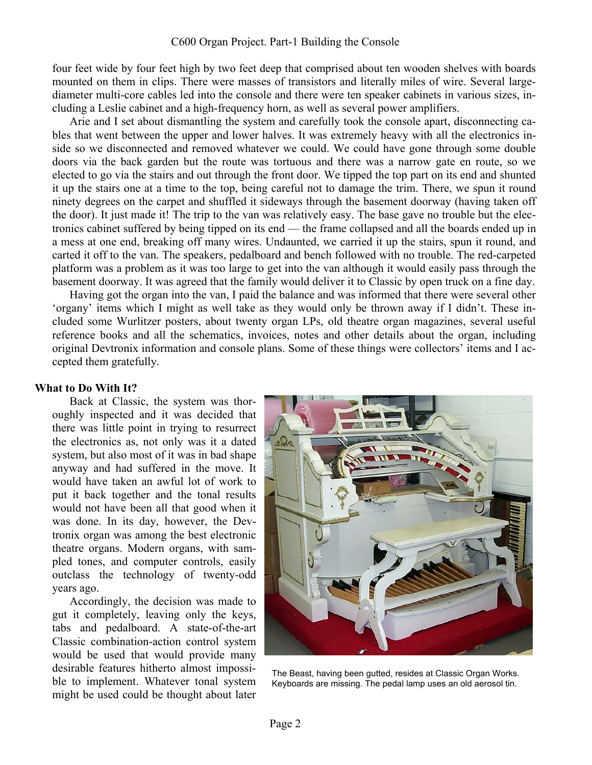four feet wide by four feet high by two feet deep that comprised about ten wooden shelves with boards mounted on them in clips. There were masses of transistors and literally miles of wire. Several largediameter multi-core cables led into the console and there were ten speaker cabinets in various sizes, including a Leslie cabinet and a high-frequency horn, as well as several power amplifiers.

Arie and I set about dismantling the system and carefully took the console apart, disconnecting cables that went between the upper and lower halves. It was extremely heavy with all the electronics inside so we disconnected and removed whatever we could. We could have gone through some double doors via the back garden but the route was tortuous and there was a narrow gate en route, so we elected to go via the stairs and out through the front door. We tipped the top part on its end and shunted it up the stairs one at a time to the top, being careful not to damage the trim. There, we spun it round ninety degrees on the carpet and shuffled it sideways through the basement doorway (having taken off the door). It just made it! The trip to the van was relatively easy. The base gave no trouble but the electronics cabinet suffered by being tipped on its end — the frame collapsed and all the boards ended up in a mess at one end, breaking off many wires. Undaunted, we carried it up the stairs, spun it round, and carted it off to the van. The speakers, pedalboard and bench followed with no trouble. The red-carpeted platform was a problem as it was too large to get into the van although it would easily pass through the basement doorway. It was agreed that the family would deliver it to Classic by open truck on a fine day.

Having got the organ into the van, I paid the balance and was informed that there were several other 'organy' items which I might as well take as they would only be thrown away if I didn't. These included some Wurlitzer posters, about twenty organ LPs, old theatre organ magazines, several useful reference books and all the schematics, invoices, notes and other details about the organ, including original Devtronix information and console plans. Some of these things were collectors' items and I accepted them gratefully.

## **What to Do With It?**

Back at Classic, the system was thoroughly inspected and it was decided that there was little point in trying to resurrect the electronics as, not only was it a dated system, but also most of it was in bad shape anyway and had suffered in the move. It would have taken an awful lot of work to put it back together and the tonal results would not have been all that good when it was done. In its day, however, the Devtronix organ was among the best electronic theatre organs. Modern organs, with sampled tones, and computer controls, easily outclass the technology of twenty-odd years ago.

Accordingly, the decision was made to gut it completely, leaving only the keys, tabs and pedalboard. A state-of-the-art Classic combination-action control system would be used that would provide many desirable features hitherto almost impossible to implement. Whatever tonal system might be used could be thought about later



The Beast, having been gutted, resides at Classic Organ Works. Keyboards are missing. The pedal lamp uses an old aerosol tin.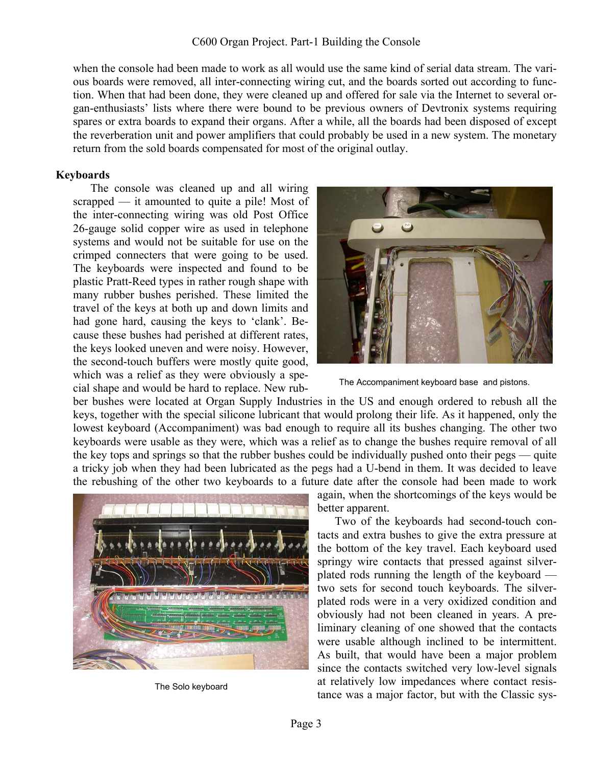when the console had been made to work as all would use the same kind of serial data stream. The various boards were removed, all inter-connecting wiring cut, and the boards sorted out according to function. When that had been done, they were cleaned up and offered for sale via the Internet to several organ-enthusiasts' lists where there were bound to be previous owners of Devtronix systems requiring spares or extra boards to expand their organs. After a while, all the boards had been disposed of except the reverberation unit and power amplifiers that could probably be used in a new system. The monetary return from the sold boards compensated for most of the original outlay.

## **Keyboards**

The console was cleaned up and all wiring scrapped — it amounted to quite a pile! Most of the inter-connecting wiring was old Post Office 26-gauge solid copper wire as used in telephone systems and would not be suitable for use on the crimped connecters that were going to be used. The keyboards were inspected and found to be plastic Pratt-Reed types in rather rough shape with many rubber bushes perished. These limited the travel of the keys at both up and down limits and had gone hard, causing the keys to 'clank'. Because these bushes had perished at different rates, the keys looked uneven and were noisy. However, the second-touch buffers were mostly quite good, which was a relief as they were obviously a special shape and would be hard to replace. New rub-



The Accompaniment keyboard base and pistons.

ber bushes were located at Organ Supply Industries in the US and enough ordered to rebush all the keys, together with the special silicone lubricant that would prolong their life. As it happened, only the lowest keyboard (Accompaniment) was bad enough to require all its bushes changing. The other two keyboards were usable as they were, which was a relief as to change the bushes require removal of all the key tops and springs so that the rubber bushes could be individually pushed onto their pegs — quite a tricky job when they had been lubricated as the pegs had a U-bend in them. It was decided to leave the rebushing of the other two keyboards to a future date after the console had been made to work



The Solo keyboard

again, when the shortcomings of the keys would be better apparent.

Two of the keyboards had second-touch contacts and extra bushes to give the extra pressure at the bottom of the key travel. Each keyboard used springy wire contacts that pressed against silverplated rods running the length of the keyboard two sets for second touch keyboards. The silverplated rods were in a very oxidized condition and obviously had not been cleaned in years. A preliminary cleaning of one showed that the contacts were usable although inclined to be intermittent. As built, that would have been a major problem since the contacts switched very low-level signals at relatively low impedances where contact resistance was a major factor, but with the Classic sys-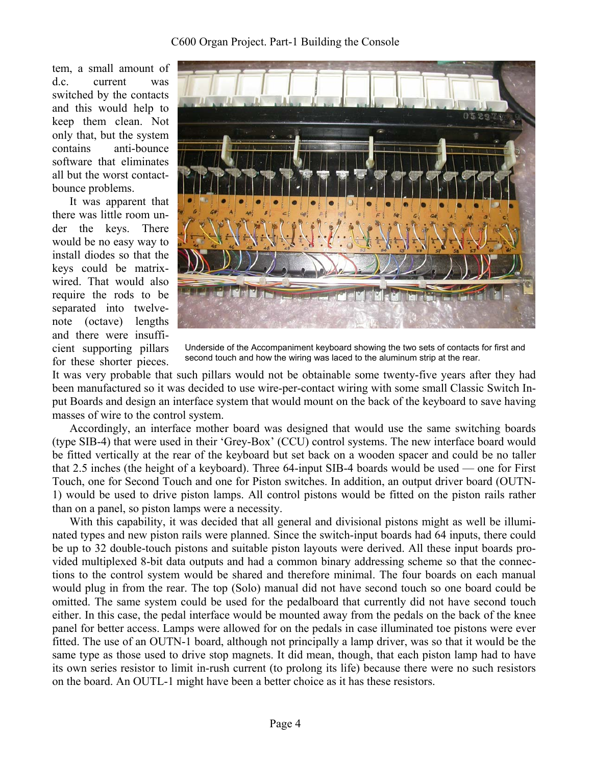tem, a small amount of d.c. current was switched by the contacts and this would help to keep them clean. Not only that, but the system contains anti-bounce software that eliminates all but the worst contactbounce problems.

It was apparent that there was little room under the keys. There would be no easy way to install diodes so that the keys could be matrixwired. That would also require the rods to be separated into twelvenote (octave) lengths and there were insufficient supporting pillars for these shorter pieces.



Underside of the Accompaniment keyboard showing the two sets of contacts for first and second touch and how the wiring was laced to the aluminum strip at the rear.

It was very probable that such pillars would not be obtainable some twenty-five years after they had been manufactured so it was decided to use wire-per-contact wiring with some small Classic Switch Input Boards and design an interface system that would mount on the back of the keyboard to save having masses of wire to the control system.

Accordingly, an interface mother board was designed that would use the same switching boards (type SIB-4) that were used in their 'Grey-Box' (CCU) control systems. The new interface board would be fitted vertically at the rear of the keyboard but set back on a wooden spacer and could be no taller that 2.5 inches (the height of a keyboard). Three 64-input SIB-4 boards would be used — one for First Touch, one for Second Touch and one for Piston switches. In addition, an output driver board (OUTN-1) would be used to drive piston lamps. All control pistons would be fitted on the piston rails rather than on a panel, so piston lamps were a necessity.

With this capability, it was decided that all general and divisional pistons might as well be illuminated types and new piston rails were planned. Since the switch-input boards had 64 inputs, there could be up to 32 double-touch pistons and suitable piston layouts were derived. All these input boards provided multiplexed 8-bit data outputs and had a common binary addressing scheme so that the connections to the control system would be shared and therefore minimal. The four boards on each manual would plug in from the rear. The top (Solo) manual did not have second touch so one board could be omitted. The same system could be used for the pedalboard that currently did not have second touch either. In this case, the pedal interface would be mounted away from the pedals on the back of the knee panel for better access. Lamps were allowed for on the pedals in case illuminated toe pistons were ever fitted. The use of an OUTN-1 board, although not principally a lamp driver, was so that it would be the same type as those used to drive stop magnets. It did mean, though, that each piston lamp had to have its own series resistor to limit in-rush current (to prolong its life) because there were no such resistors on the board. An OUTL-1 might have been a better choice as it has these resistors.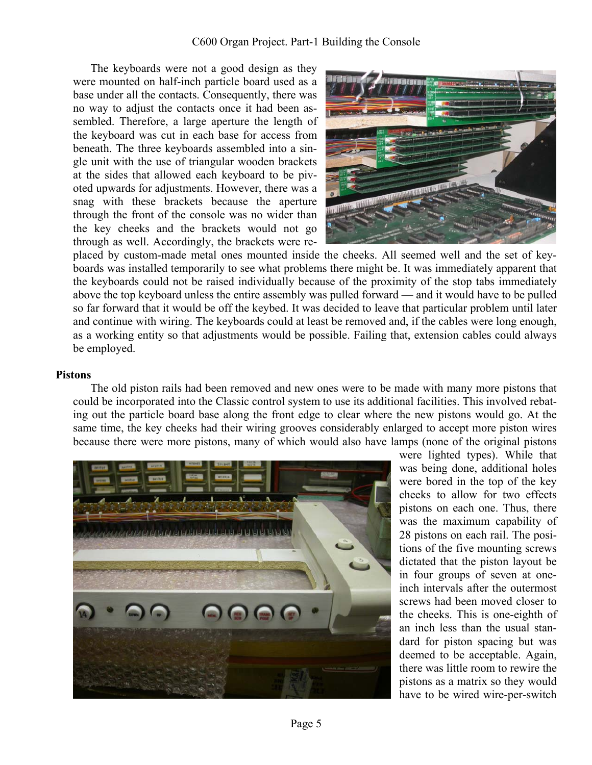The keyboards were not a good design as they were mounted on half-inch particle board used as a base under all the contacts. Consequently, there was no way to adjust the contacts once it had been assembled. Therefore, a large aperture the length of the keyboard was cut in each base for access from beneath. The three keyboards assembled into a single unit with the use of triangular wooden brackets at the sides that allowed each keyboard to be pivoted upwards for adjustments. However, there was a snag with these brackets because the aperture through the front of the console was no wider than the key cheeks and the brackets would not go through as well. Accordingly, the brackets were re-



placed by custom-made metal ones mounted inside the cheeks. All seemed well and the set of keyboards was installed temporarily to see what problems there might be. It was immediately apparent that the keyboards could not be raised individually because of the proximity of the stop tabs immediately above the top keyboard unless the entire assembly was pulled forward — and it would have to be pulled so far forward that it would be off the keybed. It was decided to leave that particular problem until later and continue with wiring. The keyboards could at least be removed and, if the cables were long enough, as a working entity so that adjustments would be possible. Failing that, extension cables could always be employed.

#### **Pistons**

The old piston rails had been removed and new ones were to be made with many more pistons that could be incorporated into the Classic control system to use its additional facilities. This involved rebating out the particle board base along the front edge to clear where the new pistons would go. At the same time, the key cheeks had their wiring grooves considerably enlarged to accept more piston wires because there were more pistons, many of which would also have lamps (none of the original pistons



were lighted types). While that was being done, additional holes were bored in the top of the key cheeks to allow for two effects pistons on each one. Thus, there was the maximum capability of 28 pistons on each rail. The positions of the five mounting screws dictated that the piston layout be in four groups of seven at oneinch intervals after the outermost screws had been moved closer to the cheeks. This is one-eighth of an inch less than the usual standard for piston spacing but was deemed to be acceptable. Again, there was little room to rewire the pistons as a matrix so they would have to be wired wire-per-switch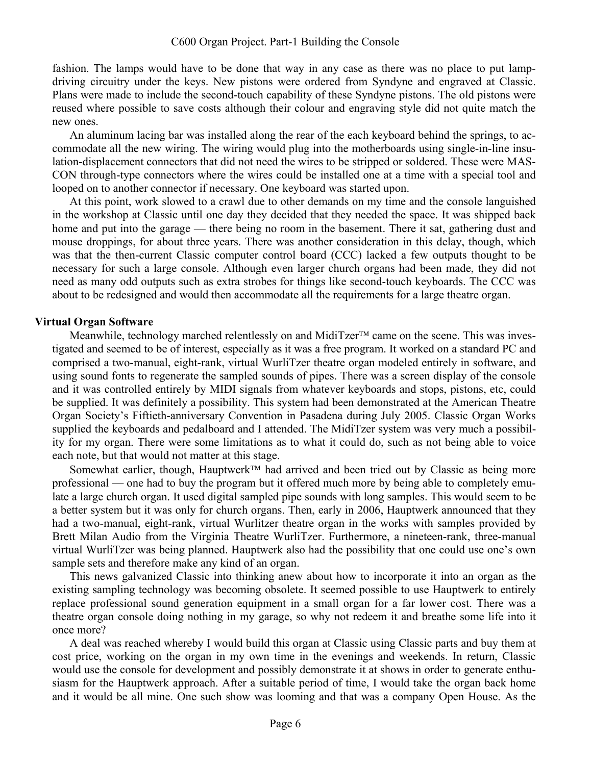fashion. The lamps would have to be done that way in any case as there was no place to put lampdriving circuitry under the keys. New pistons were ordered from Syndyne and engraved at Classic. Plans were made to include the second-touch capability of these Syndyne pistons. The old pistons were reused where possible to save costs although their colour and engraving style did not quite match the new ones.

An aluminum lacing bar was installed along the rear of the each keyboard behind the springs, to accommodate all the new wiring. The wiring would plug into the motherboards using single-in-line insulation-displacement connectors that did not need the wires to be stripped or soldered. These were MAS-CON through-type connectors where the wires could be installed one at a time with a special tool and looped on to another connector if necessary. One keyboard was started upon.

At this point, work slowed to a crawl due to other demands on my time and the console languished in the workshop at Classic until one day they decided that they needed the space. It was shipped back home and put into the garage — there being no room in the basement. There it sat, gathering dust and mouse droppings, for about three years. There was another consideration in this delay, though, which was that the then-current Classic computer control board (CCC) lacked a few outputs thought to be necessary for such a large console. Although even larger church organs had been made, they did not need as many odd outputs such as extra strobes for things like second-touch keyboards. The CCC was about to be redesigned and would then accommodate all the requirements for a large theatre organ.

### **Virtual Organ Software**

Meanwhile, technology marched relentlessly on and MidiTzer<sup>TM</sup> came on the scene. This was investigated and seemed to be of interest, especially as it was a free program. It worked on a standard PC and comprised a two-manual, eight-rank, virtual WurliTzer theatre organ modeled entirely in software, and using sound fonts to regenerate the sampled sounds of pipes. There was a screen display of the console and it was controlled entirely by MIDI signals from whatever keyboards and stops, pistons, etc, could be supplied. It was definitely a possibility. This system had been demonstrated at the American Theatre Organ Society's Fiftieth-anniversary Convention in Pasadena during July 2005. Classic Organ Works supplied the keyboards and pedalboard and I attended. The MidiTzer system was very much a possibility for my organ. There were some limitations as to what it could do, such as not being able to voice each note, but that would not matter at this stage.

Somewhat earlier, though, Hauptwerk<sup>TM</sup> had arrived and been tried out by Classic as being more professional — one had to buy the program but it offered much more by being able to completely emulate a large church organ. It used digital sampled pipe sounds with long samples. This would seem to be a better system but it was only for church organs. Then, early in 2006, Hauptwerk announced that they had a two-manual, eight-rank, virtual Wurlitzer theatre organ in the works with samples provided by Brett Milan Audio from the Virginia Theatre WurliTzer. Furthermore, a nineteen-rank, three-manual virtual WurliTzer was being planned. Hauptwerk also had the possibility that one could use one's own sample sets and therefore make any kind of an organ.

This news galvanized Classic into thinking anew about how to incorporate it into an organ as the existing sampling technology was becoming obsolete. It seemed possible to use Hauptwerk to entirely replace professional sound generation equipment in a small organ for a far lower cost. There was a theatre organ console doing nothing in my garage, so why not redeem it and breathe some life into it once more?

A deal was reached whereby I would build this organ at Classic using Classic parts and buy them at cost price, working on the organ in my own time in the evenings and weekends. In return, Classic would use the console for development and possibly demonstrate it at shows in order to generate enthusiasm for the Hauptwerk approach. After a suitable period of time, I would take the organ back home and it would be all mine. One such show was looming and that was a company Open House. As the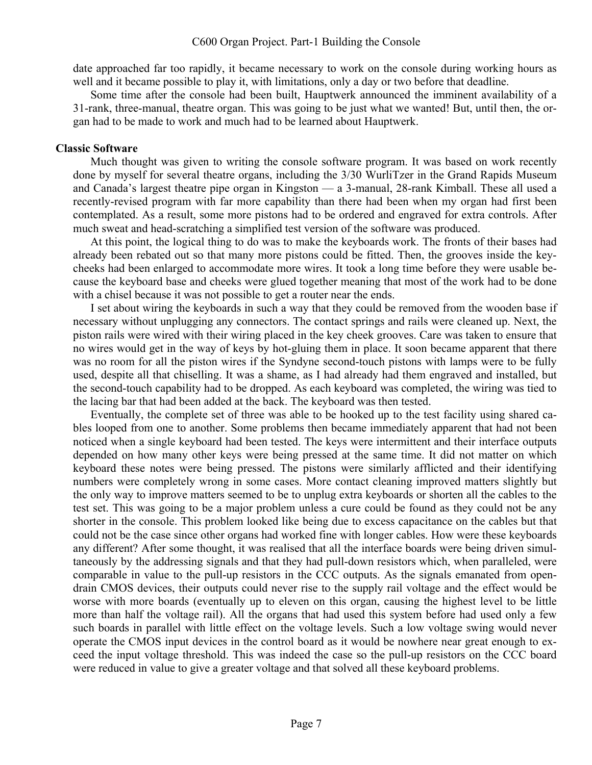date approached far too rapidly, it became necessary to work on the console during working hours as well and it became possible to play it, with limitations, only a day or two before that deadline.

Some time after the console had been built, Hauptwerk announced the imminent availability of a 31-rank, three-manual, theatre organ. This was going to be just what we wanted! But, until then, the organ had to be made to work and much had to be learned about Hauptwerk.

#### **Classic Software**

Much thought was given to writing the console software program. It was based on work recently done by myself for several theatre organs, including the 3/30 WurliTzer in the Grand Rapids Museum and Canada's largest theatre pipe organ in Kingston — a 3-manual, 28-rank Kimball. These all used a recently-revised program with far more capability than there had been when my organ had first been contemplated. As a result, some more pistons had to be ordered and engraved for extra controls. After much sweat and head-scratching a simplified test version of the software was produced.

At this point, the logical thing to do was to make the keyboards work. The fronts of their bases had already been rebated out so that many more pistons could be fitted. Then, the grooves inside the keycheeks had been enlarged to accommodate more wires. It took a long time before they were usable because the keyboard base and cheeks were glued together meaning that most of the work had to be done with a chisel because it was not possible to get a router near the ends.

I set about wiring the keyboards in such a way that they could be removed from the wooden base if necessary without unplugging any connectors. The contact springs and rails were cleaned up. Next, the piston rails were wired with their wiring placed in the key cheek grooves. Care was taken to ensure that no wires would get in the way of keys by hot-gluing them in place. It soon became apparent that there was no room for all the piston wires if the Syndyne second-touch pistons with lamps were to be fully used, despite all that chiselling. It was a shame, as I had already had them engraved and installed, but the second-touch capability had to be dropped. As each keyboard was completed, the wiring was tied to the lacing bar that had been added at the back. The keyboard was then tested.

Eventually, the complete set of three was able to be hooked up to the test facility using shared cables looped from one to another. Some problems then became immediately apparent that had not been noticed when a single keyboard had been tested. The keys were intermittent and their interface outputs depended on how many other keys were being pressed at the same time. It did not matter on which keyboard these notes were being pressed. The pistons were similarly afflicted and their identifying numbers were completely wrong in some cases. More contact cleaning improved matters slightly but the only way to improve matters seemed to be to unplug extra keyboards or shorten all the cables to the test set. This was going to be a major problem unless a cure could be found as they could not be any shorter in the console. This problem looked like being due to excess capacitance on the cables but that could not be the case since other organs had worked fine with longer cables. How were these keyboards any different? After some thought, it was realised that all the interface boards were being driven simultaneously by the addressing signals and that they had pull-down resistors which, when paralleled, were comparable in value to the pull-up resistors in the CCC outputs. As the signals emanated from opendrain CMOS devices, their outputs could never rise to the supply rail voltage and the effect would be worse with more boards (eventually up to eleven on this organ, causing the highest level to be little more than half the voltage rail). All the organs that had used this system before had used only a few such boards in parallel with little effect on the voltage levels. Such a low voltage swing would never operate the CMOS input devices in the control board as it would be nowhere near great enough to exceed the input voltage threshold. This was indeed the case so the pull-up resistors on the CCC board were reduced in value to give a greater voltage and that solved all these keyboard problems.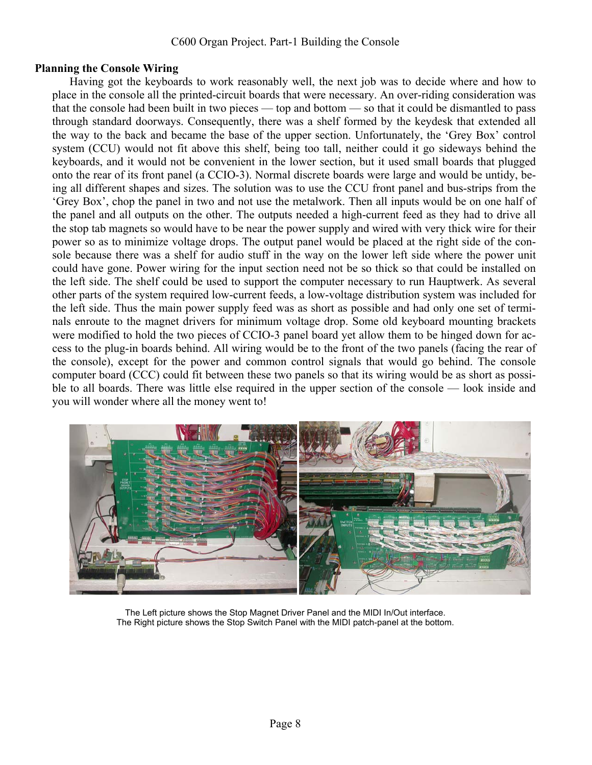## **Planning the Console Wiring**

Having got the keyboards to work reasonably well, the next job was to decide where and how to place in the console all the printed-circuit boards that were necessary. An over-riding consideration was that the console had been built in two pieces — top and bottom — so that it could be dismantled to pass through standard doorways. Consequently, there was a shelf formed by the keydesk that extended all the way to the back and became the base of the upper section. Unfortunately, the 'Grey Box' control system (CCU) would not fit above this shelf, being too tall, neither could it go sideways behind the keyboards, and it would not be convenient in the lower section, but it used small boards that plugged onto the rear of its front panel (a CCIO-3). Normal discrete boards were large and would be untidy, being all different shapes and sizes. The solution was to use the CCU front panel and bus-strips from the 'Grey Box', chop the panel in two and not use the metalwork. Then all inputs would be on one half of the panel and all outputs on the other. The outputs needed a high-current feed as they had to drive all the stop tab magnets so would have to be near the power supply and wired with very thick wire for their power so as to minimize voltage drops. The output panel would be placed at the right side of the console because there was a shelf for audio stuff in the way on the lower left side where the power unit could have gone. Power wiring for the input section need not be so thick so that could be installed on the left side. The shelf could be used to support the computer necessary to run Hauptwerk. As several other parts of the system required low-current feeds, a low-voltage distribution system was included for the left side. Thus the main power supply feed was as short as possible and had only one set of terminals enroute to the magnet drivers for minimum voltage drop. Some old keyboard mounting brackets were modified to hold the two pieces of CCIO-3 panel board yet allow them to be hinged down for access to the plug-in boards behind. All wiring would be to the front of the two panels (facing the rear of the console), except for the power and common control signals that would go behind. The console computer board (CCC) could fit between these two panels so that its wiring would be as short as possible to all boards. There was little else required in the upper section of the console — look inside and you will wonder where all the money went to!



The Left picture shows the Stop Magnet Driver Panel and the MIDI In/Out interface. The Right picture shows the Stop Switch Panel with the MIDI patch-panel at the bottom.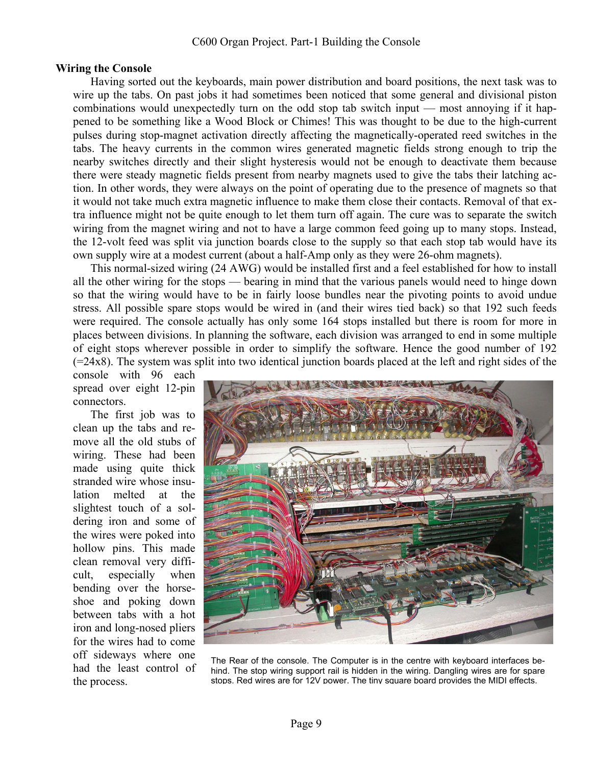#### **Wiring the Console**

Having sorted out the keyboards, main power distribution and board positions, the next task was to wire up the tabs. On past jobs it had sometimes been noticed that some general and divisional piston combinations would unexpectedly turn on the odd stop tab switch input — most annoying if it happened to be something like a Wood Block or Chimes! This was thought to be due to the high-current pulses during stop-magnet activation directly affecting the magnetically-operated reed switches in the tabs. The heavy currents in the common wires generated magnetic fields strong enough to trip the nearby switches directly and their slight hysteresis would not be enough to deactivate them because there were steady magnetic fields present from nearby magnets used to give the tabs their latching action. In other words, they were always on the point of operating due to the presence of magnets so that it would not take much extra magnetic influence to make them close their contacts. Removal of that extra influence might not be quite enough to let them turn off again. The cure was to separate the switch wiring from the magnet wiring and not to have a large common feed going up to many stops. Instead, the 12-volt feed was split via junction boards close to the supply so that each stop tab would have its own supply wire at a modest current (about a half-Amp only as they were 26-ohm magnets).

This normal-sized wiring (24 AWG) would be installed first and a feel established for how to install all the other wiring for the stops — bearing in mind that the various panels would need to hinge down so that the wiring would have to be in fairly loose bundles near the pivoting points to avoid undue stress. All possible spare stops would be wired in (and their wires tied back) so that 192 such feeds were required. The console actually has only some 164 stops installed but there is room for more in places between divisions. In planning the software, each division was arranged to end in some multiple of eight stops wherever possible in order to simplify the software. Hence the good number of 192  $(=24x8)$ . The system was split into two identical junction boards placed at the left and right sides of the

console with 96 each spread over eight 12-pin connectors.

The first job was to clean up the tabs and remove all the old stubs of wiring. These had been made using quite thick stranded wire whose insulation melted at the slightest touch of a soldering iron and some of the wires were poked into hollow pins. This made clean removal very difficult, especially when bending over the horseshoe and poking down between tabs with a hot iron and long-nosed pliers for the wires had to come off sideways where one had the least control of the process.



The Rear of the console. The Computer is in the centre with keyboard interfaces behind. The stop wiring support rail is hidden in the wiring. Dangling wires are for spare stops. Red wires are for 12V power. The tiny square board provides the MIDI effects.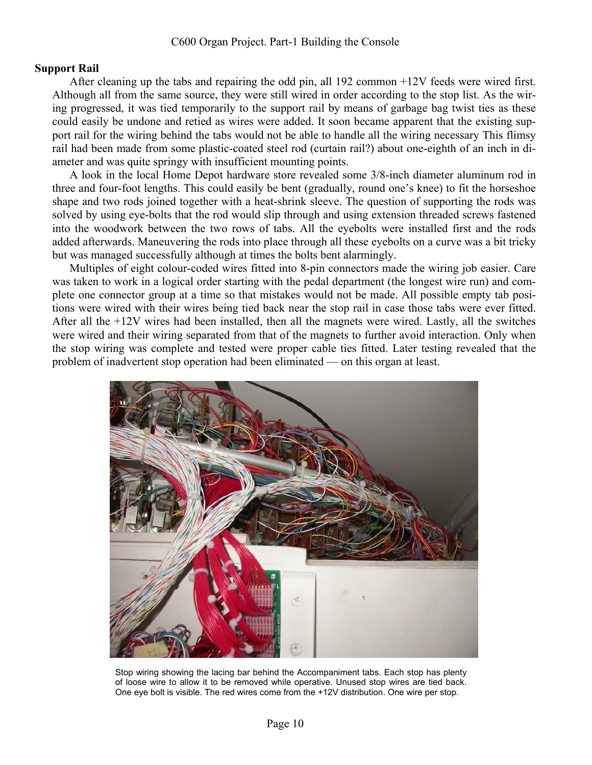### **Support Rail**

After cleaning up the tabs and repairing the odd pin, all 192 common +12V feeds were wired first. Although all from the same source, they were still wired in order according to the stop list. As the wiring progressed, it was tied temporarily to the support rail by means of garbage bag twist ties as these could easily be undone and retied as wires were added. It soon became apparent that the existing support rail for the wiring behind the tabs would not be able to handle all the wiring necessary This flimsy rail had been made from some plastic-coated steel rod (curtain rail?) about one-eighth of an inch in diameter and was quite springy with insufficient mounting points.

A look in the local Home Depot hardware store revealed some 3/8-inch diameter aluminum rod in three and four-foot lengths. This could easily be bent (gradually, round one's knee) to fit the horseshoe shape and two rods joined together with a heat-shrink sleeve. The question of supporting the rods was solved by using eye-bolts that the rod would slip through and using extension threaded screws fastened into the woodwork between the two rows of tabs. All the eyebolts were installed first and the rods added afterwards. Maneuvering the rods into place through all these eyebolts on a curve was a bit tricky but was managed successfully although at times the bolts bent alarmingly.

Multiples of eight colour-coded wires fitted into 8-pin connectors made the wiring job easier. Care was taken to work in a logical order starting with the pedal department (the longest wire run) and complete one connector group at a time so that mistakes would not be made. All possible empty tab positions were wired with their wires being tied back near the stop rail in case those tabs were ever fitted. After all the +12V wires had been installed, then all the magnets were wired. Lastly, all the switches were wired and their wiring separated from that of the magnets to further avoid interaction. Only when the stop wiring was complete and tested were proper cable ties fitted. Later testing revealed that the problem of inadvertent stop operation had been eliminated — on this organ at least.



Stop wiring showing the lacing bar behind the Accompaniment tabs. Each stop has plenty of loose wire to allow it to be removed while operative. Unused stop wires are tied back. One eye bolt is visible. The red wires come from the +12V distribution. One wire per stop.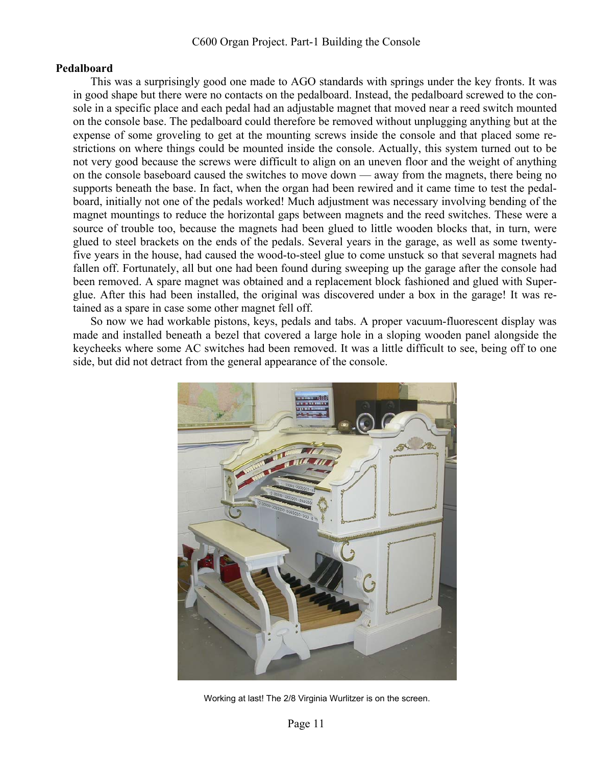#### **Pedalboard**

This was a surprisingly good one made to AGO standards with springs under the key fronts. It was in good shape but there were no contacts on the pedalboard. Instead, the pedalboard screwed to the console in a specific place and each pedal had an adjustable magnet that moved near a reed switch mounted on the console base. The pedalboard could therefore be removed without unplugging anything but at the expense of some groveling to get at the mounting screws inside the console and that placed some restrictions on where things could be mounted inside the console. Actually, this system turned out to be not very good because the screws were difficult to align on an uneven floor and the weight of anything on the console baseboard caused the switches to move down — away from the magnets, there being no supports beneath the base. In fact, when the organ had been rewired and it came time to test the pedalboard, initially not one of the pedals worked! Much adjustment was necessary involving bending of the magnet mountings to reduce the horizontal gaps between magnets and the reed switches. These were a source of trouble too, because the magnets had been glued to little wooden blocks that, in turn, were glued to steel brackets on the ends of the pedals. Several years in the garage, as well as some twentyfive years in the house, had caused the wood-to-steel glue to come unstuck so that several magnets had fallen off. Fortunately, all but one had been found during sweeping up the garage after the console had been removed. A spare magnet was obtained and a replacement block fashioned and glued with Superglue. After this had been installed, the original was discovered under a box in the garage! It was retained as a spare in case some other magnet fell off.

So now we had workable pistons, keys, pedals and tabs. A proper vacuum-fluorescent display was made and installed beneath a bezel that covered a large hole in a sloping wooden panel alongside the keycheeks where some AC switches had been removed. It was a little difficult to see, being off to one side, but did not detract from the general appearance of the console.



Working at last! The 2/8 Virginia Wurlitzer is on the screen.